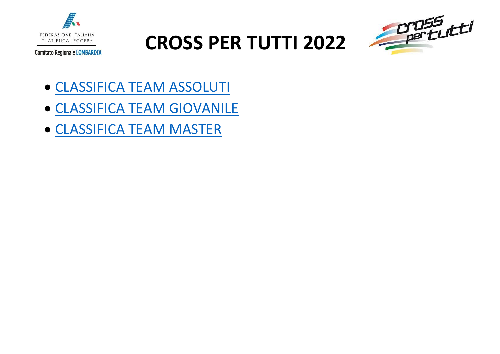



- [CLASSIFICA TEAM ASSOLUTI](#page-1-0)
- [CLASSIFICA TEAM GIOVANILE](#page-4-0)
- [CLASSIFICA TEAM MASTER](#page-8-0)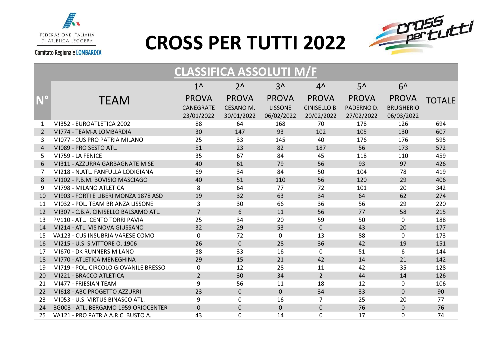



<span id="page-1-0"></span>

|                       | <b>CLASSIFICA ASSOLUTI M/F</b>        |                                                |                                         |                                              |                                                   |                                          |                                                |               |  |
|-----------------------|---------------------------------------|------------------------------------------------|-----------------------------------------|----------------------------------------------|---------------------------------------------------|------------------------------------------|------------------------------------------------|---------------|--|
|                       |                                       | $1^{\wedge}$                                   | $2^{\Lambda}$                           | $3^$                                         | $4^{\wedge}$                                      | $5^{\prime}$                             | $6^$                                           |               |  |
|                       | <b>TEAM</b>                           | <b>PROVA</b><br><b>CANEGRATE</b><br>23/01/2022 | <b>PROVA</b><br>CESANO M.<br>30/01/2022 | <b>PROVA</b><br><b>LISSONE</b><br>06/02/2022 | <b>PROVA</b><br><b>CINISELLO B.</b><br>20/02/2022 | <b>PROVA</b><br>PADERNO D.<br>27/02/2022 | <b>PROVA</b><br><b>BRUGHERIO</b><br>06/03/2022 | <b>TOTALE</b> |  |
| 1                     | MI352 - EUROATLETICA 2002             | 88                                             | 64                                      | 168                                          | 70                                                | 178                                      | 126                                            | 694           |  |
| 2                     | MI774 - TEAM-A LOMBARDIA              | 30                                             | 147                                     | 93                                           | 102                                               | 105                                      | 130                                            | 607           |  |
| 3                     | MI077 - CUS PRO PATRIA MILANO         | 25                                             | 33                                      | 145                                          | 40                                                | 176                                      | 176                                            | 595           |  |
| $\boldsymbol{\Delta}$ | MI089 - PRO SESTO ATL.                | 51                                             | 23                                      | 82                                           | 187                                               | 56                                       | 173                                            | 572           |  |
| 5                     | MI759 - LA FENICE                     | 35                                             | 67                                      | 84                                           | 45                                                | 118                                      | 110                                            | 459           |  |
| 6                     | MI311 - AZZURRA GARBAGNATE M.SE       | 40                                             | 61                                      | 79                                           | 56                                                | 93                                       | 97                                             | 426           |  |
| 7                     | MI218 - N.ATL. FANFULLA LODIGIANA     | 69                                             | 34                                      | 84                                           | 50                                                | 104                                      | 78                                             | 419           |  |
| 8                     | MI102 - P.B.M. BOVISIO MASCIAGO       | 40                                             | 51                                      | 110                                          | 56                                                | 120                                      | 29                                             | 406           |  |
| 9                     | MI798 - MILANO ATLETICA               | 8                                              | 64                                      | 77                                           | 72                                                | 101                                      | 20                                             | 342           |  |
| 10                    | MI903 - FORTI E LIBERI MONZA 1878 ASD | 19                                             | 32                                      | 63                                           | 34                                                | 64                                       | 62                                             | 274           |  |
| 11                    | MI032 - POL. TEAM BRIANZA LISSONE     | 3                                              | 30                                      | 66                                           | 36                                                | 56                                       | 29                                             | 220           |  |
| 12                    | MI307 - C.B.A. CINISELLO BALSAMO ATL. | $\overline{7}$                                 | 6                                       | 11                                           | 56                                                | 77                                       | 58                                             | 215           |  |
| 13                    | PV110 - ATL. CENTO TORRI PAVIA        | 25                                             | 34                                      | 20                                           | 59                                                | 50                                       | $\mathbf 0$                                    | 188           |  |
| 14                    | MI214 - ATL, VIS NOVA GIUSSANO        | 32                                             | 29                                      | 53                                           | $\overline{0}$                                    | 43                                       | 20                                             | 177           |  |
| 15                    | VA123 - CUS INSUBRIA VARESE COMO      | 0                                              | 72                                      | $\mathbf{0}$                                 | 13                                                | 88                                       | $\mathbf{0}$                                   | 173           |  |
| 16                    | MI215 - U.S. S.VITTORE O. 1906        | 26                                             | $\mathbf 0$                             | 28                                           | 36                                                | 42                                       | 19                                             | 151           |  |
| 17                    | MI670 - DK RUNNERS MILANO             | 38                                             | 33                                      | 16                                           | $\Omega$                                          | 51                                       | 6                                              | 144           |  |
| 18                    | MI770 - ATLETICA MENEGHINA            | 29                                             | 15                                      | 21                                           | 42                                                | 14                                       | 21                                             | 142           |  |
| 19                    | MI719 - POL. CIRCOLO GIOVANILE BRESSO | 0                                              | 12                                      | 28                                           | 11                                                | 42                                       | 35                                             | 128           |  |
| 20                    | MI221 - BRACCO ATLETICA               | $\overline{2}$                                 | 30                                      | 34                                           | $\overline{2}$                                    | 44                                       | 14                                             | 126           |  |
| 21                    | MI477 - FRIESIAN TEAM                 | 9                                              | 56                                      | 11                                           | 18                                                | 12                                       | $\mathbf 0$                                    | 106           |  |
| 22                    | MI618 - ABC PROGETTO AZZURRI          | 23                                             | $\mathbf 0$                             | $\overline{0}$                               | 34                                                | 33                                       | $\mathbf{0}$                                   | 90            |  |
| 23                    | MI053 - U.S. VIRTUS BINASCO ATL.      | 9                                              | $\mathbf 0$                             | 16                                           | $\overline{7}$                                    | 25                                       | 20                                             | 77            |  |
| 24                    | BG003 - ATL. BERGAMO 1959 ORIOCENTER  | $\mathbf{0}$                                   | $\mathbf 0$                             | $\mathbf{0}$                                 | $\Omega$                                          | 76                                       | $\Omega$                                       | 76            |  |
| 25                    | VA121 - PRO PATRIA A.R.C. BUSTO A.    | 43                                             | 0                                       | 14                                           | $\Omega$                                          | 17                                       | 0                                              | 74            |  |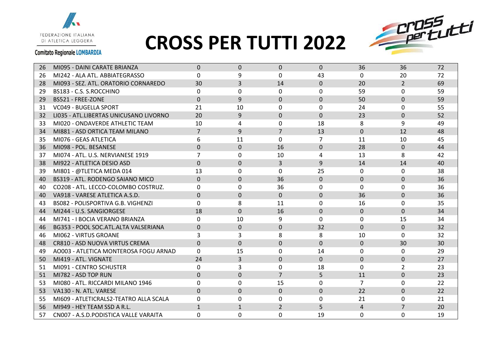

### **CROSS PER TUTTI 2022**



| 26 | MI095 - DAINI CARATE BRIANZA           | $\Omega$       | $\Omega$       | $\Omega$       | $\Omega$     | 36             | 36             | 72 |
|----|----------------------------------------|----------------|----------------|----------------|--------------|----------------|----------------|----|
| 26 | MI242 - ALA ATL. ABBIATEGRASSO         | 0              | 9              | $\Omega$       | 43           | $\Omega$       | 20             | 72 |
| 28 | MI093 - SEZ. ATL. ORATORIO CORNAREDO   | 30             | 3              | 14             | $\Omega$     | 20             | $\overline{2}$ | 69 |
| 29 | BS183 - C.S. S.ROCCHINO                | 0              | $\mathbf{0}$   | $\mathbf{0}$   | $\Omega$     | 59             | $\mathbf{0}$   | 59 |
| 29 | BS521 - FREE-ZONE                      | $\Omega$       | 9              | $\Omega$       | $\mathbf{0}$ | 50             | $\Omega$       | 59 |
| 31 | <b>VC049 - BUGELLA SPORT</b>           | 21             | 10             | $\Omega$       | $\Omega$     | 24             | 0              | 55 |
| 32 | LI035 - ATL.LIBERTAS UNICUSANO LIVORNO | 20             | 9              | $\Omega$       | $\Omega$     | 23             | $\Omega$       | 52 |
| 33 | MI020 - ONDAVERDE ATHLETIC TEAM        | 10             | 4              | $\Omega$       | 18           | 8              | 9              | 49 |
| 34 | MI881 - ASD ORTICA TEAM MILANO         | $\overline{7}$ | 9              | $\overline{7}$ | 13           | $\mathbf{0}$   | 12             | 48 |
| 35 | MI076 - GEAS ATLETICA                  | 6              | 11             | $\mathbf{0}$   | 7            | 11             | 10             | 45 |
| 36 | MI098 - POL. BESANESE                  | $\Omega$       | $\Omega$       | 16             | $\Omega$     | 28             | $\Omega$       | 44 |
| 37 | MI074 - ATL, U.S. NERVIANESE 1919      | $\overline{7}$ | $\mathbf{0}$   | 10             | 4            | 13             | 8              | 42 |
| 38 | MI922 - ATLETICA DESIO ASD             | $\Omega$       | $\Omega$       | 3              | 9            | 14             | 14             | 40 |
| 39 | MI801 - @TLETICA MEDA 014              | 13             | 0              | $\Omega$       | 25           | $\Omega$       | $\Omega$       | 38 |
| 40 | BS319 - ATL. RODENGO SAIANO MICO       | $\Omega$       | $\mathbf{0}$   | 36             | $\Omega$     | $\mathbf 0$    | $\Omega$       | 36 |
| 40 | CO208 - ATL. LECCO-COLOMBO COSTRUZ.    | 0              | 0              | 36             | $\mathbf{0}$ | 0              | 0              | 36 |
| 40 | VA918 - VARESE ATLETICA A.S.D.         | $\Omega$       | $\Omega$       | $\Omega$       | $\Omega$     | 36             | $\Omega$       | 36 |
| 43 | BS082 - POLISPORTIVA G.B. VIGHENZI     | 0              | 8              | 11             | $\Omega$     | 16             | $\mathbf{0}$   | 35 |
| 44 | MI244 - U.S. SANGIORGESE               | 18             | $\Omega$       | 16             | $\Omega$     | $\Omega$       | $\Omega$       | 34 |
| 44 | MI741 - I BOCIA VERANO BRIANZA         | 0              | 10             | 9              | $\Omega$     | $\mathbf{0}$   | 15             | 34 |
| 46 | BG353 - POOL SOC. ATL. ALTA VALSERIANA | $\Omega$       | $\mathbf 0$    | $\mathbf 0$    | 32           | $\Omega$       | $\mathbf{0}$   | 32 |
| 46 | MI062 - VIRTUS GROANE                  | 3              | 3              | 8              | 8            | 10             | $\Omega$       | 32 |
| 48 | CR810 - ASD NUOVA VIRTUS CREMA         | $\Omega$       | $\Omega$       | $\mathbf 0$    | $\mathbf{0}$ | $\mathbf{0}$   | 30             | 30 |
| 49 | AO003 - ATLETICA MONTEROSA FOGU ARNAD  | $\Omega$       | 15             | $\mathbf{0}$   | 14           | 0              | $\Omega$       | 29 |
| 50 | MI419 - ATL. VIGNATE                   | 24             | $\overline{3}$ | $\Omega$       | $\Omega$     | $\Omega$       | $\Omega$       | 27 |
| 51 | MI091 - CENTRO SCHUSTER                | 0              | 3              | 0              | 18           | 0              | 2              | 23 |
| 51 | MI782 - ASD TOP RUN                    | $\Omega$       | $\mathbf{0}$   | $\overline{7}$ | 5            | 11             | $\Omega$       | 23 |
| 53 | MI080 - ATL. RICCARDI MILANO 1946      | 0              | $\mathbf{0}$   | 15             | $\mathbf{0}$ | $\overline{7}$ | $\Omega$       | 22 |
| 53 | VA130 - N. ATL. VARESE                 | $\Omega$       | $\mathbf 0$    | $\Omega$       | $\mathbf{0}$ | 22             | $\mathbf{0}$   | 22 |
| 55 | MI609 - ATLETICRALS2-TEATRO ALLA SCALA | 0              | 0              | $\mathbf 0$    | $\Omega$     | 21             | $\Omega$       | 21 |
| 56 | MI949 - HEY TEAM SSD A R.L.            | $\mathbf{1}$   | $\mathbf{1}$   | $\overline{2}$ | 5            | 4              | $\overline{7}$ | 20 |
| 57 | CN007 - A.S.D.PODISTICA VALLE VARAITA  | 0              | $\Omega$       | $\Omega$       | 19           | 0              | $\Omega$       | 19 |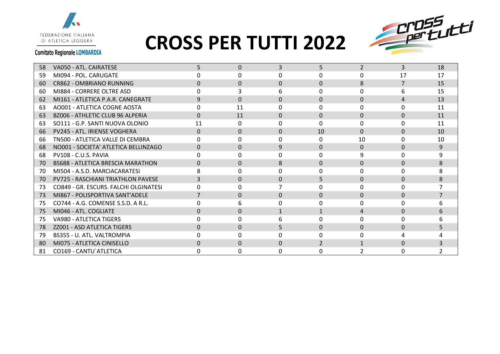

## **CROSS PER TUTTI 2022**



| 58  | VA050 - ATL. CAIRATESE                    | 5            | $\Omega$ | 3            | 5               | $\overline{2}$ | 3              | 18 |
|-----|-------------------------------------------|--------------|----------|--------------|-----------------|----------------|----------------|----|
| 59  | MI094 - POL. CARUGATE                     |              | 0        | $\Omega$     | U               | 0              | 17             | 17 |
| 60  | CR862 - OMBRIANO RUNNING                  | <sup>0</sup> | $\Omega$ | $\Omega$     | $\Omega$        | 8              | $\overline{7}$ | 15 |
| 60. | MI884 - CORRERE OLTRE ASD                 | <sup>0</sup> |          | 6            | 0               | 0              | 6              | 15 |
| 62  | MI161 - ATLETICA P.A.R. CANEGRATE         | 9            | $\Omega$ | $\Omega$     | $\Omega$        | $\Omega$       | $\overline{4}$ | 13 |
| 63  | AO001 - ATLETICA COGNE AOSTA              | 0            | 11       | U            |                 | 0              | <sup>n</sup>   | 11 |
| 63  | <b>BZ006 - ATHLETIC CLUB 96 ALPERIA</b>   | $\Omega$     | 11       | $\Omega$     | 0               | $\Omega$       | 0              | 11 |
| 63  | SO111 - G.P. SANTI NUOVA OLONIO           | 11           | $\Omega$ | <sup>0</sup> | U               | 0              | 0              | 11 |
| 66  | <b>PV245 - ATL. IRIENSE VOGHERA</b>       | $\Omega$     | $\Omega$ | $\Omega$     | 10 <sup>1</sup> | $\Omega$       | $\Omega$       | 10 |
| 66  | TN500 - ATLETICA VALLE DI CEMBRA          | <sup>0</sup> | O        | ŋ            |                 | 10             | 0              | 10 |
| 68  | NO001 - SOCIETA' ATLETICA BELLINZAGO      |              | $\Omega$ | 9            | $\Omega$        | $\Omega$       | $\Omega$       | 9  |
| 68  | PV108 - C.U.S. PAVIA                      | <sup>n</sup> | $\Omega$ | ŋ            |                 | 9              | 0              | q  |
| 70  | <b>BS688 - ATLETICA BRESCIA MARATHON</b>  | 0            | $\Omega$ | 8            | 0               | $\Omega$       | $\Omega$       | 8  |
| 70. | MI504 - A.S.D. MARCIACARATESI             |              | $\Omega$ | <sup>0</sup> |                 | 0              | 0              |    |
| 70. | <b>PV725 - RASCHIANI TRIATHLON PAVESE</b> | 3            | $\Omega$ | $\Omega$     | 5.              | $\Omega$       | $\Omega$       | 8  |
| 73  | CO849 - GR. ESCURS. FALCHI OLGINATESI     |              | 0        |              |                 | 0              | 0              |    |
| 73  | MI867 - POLISPORTIVA SANT'ADELE           |              | $\Omega$ | $\Omega$     | $\Omega$        | $\Omega$       | $\Omega$       |    |
| 75  | CO744 - A.G. COMENSE S.S.D. A R.L.        | 0            | 6        | <sup>0</sup> |                 | 0              | <sup>0</sup>   |    |
| 75  | MI046 - ATL. COGLIATE                     | $\Omega$     | $\Omega$ | $\mathbf{1}$ |                 | 4              | $\Omega$       |    |
| 75  | VA980 - ATLETICA TIGERS                   |              | U        |              |                 | O              | <sup>n</sup>   |    |
| 78  | ZZ001 - ASD ATLETICA TIGERS               | $\Omega$     | $\Omega$ | 5            | $\Omega$        | $\Omega$       | $\Omega$       |    |
| 79  | BS355 - U. ATL. VALTROMPIA                |              | n        | ŋ            |                 | n              |                |    |
| 80  | MI075 - ATLETICA CINISELLO                | $\Omega$     | $\Omega$ | $\Omega$     |                 |                | $\Omega$       |    |
| 81  | CO169 - CANTU' ATLETICA                   |              | 0        | $\Omega$     |                 |                | $\Omega$       |    |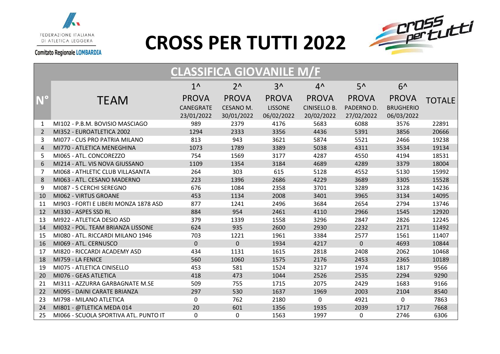

#### **CROSS PER TUTTI 2022**



#### <span id="page-4-0"></span>**CLASSIFICA GIOVANILE M/F N°** TEAM  $1^{\wedge}$ PROVA CANEGRATE 23/01/2022  $2^{\Lambda}$ PROVA CESANO M. 30/01/2022  $3^{\prime}$ PROVA LISSONE 06/02/2022  $4^{\wedge}$ PROVA CINISELLO B. 20/02/2022  $5^{\prime}$ PROVA PADERNO D. 27/02/2022  $6^{\Lambda}$ PROVA BRUGHERIO 06/03/2022 TOTALE 1 MI102 - P.B.M. BOVISIO MASCIAGO 989 2379 4176 5683 6088 3576 22891 2 MI352 - EUROATLETICA 2002 1294 2333 3356 4436 5391 3856 20666 3 MI077 - CUS PRO PATRIA MILANO 813 943 3621 5874 5521 2466 19238 4 MI770 - ATLETICA MENEGHINA 1073 1789 3389 5038 4311 3534 19134 5 MI065 - ATL. CONCOREZZO 754 1569 3177 4287 4550 4194 18531 6 MI214 - ATL. VIS NOVA GIUSSANO 1109 1354 3184 4689 4289 3379 18004 7 MI068 - ATHLETIC CLUB VILLASANTA 264 303 615 5128 4552 5130 15992 8 MI063 - ATL. CESANO MADERNO 223 1396 2686 4229 3689 3305 15528 9 MI087 - 5 CERCHI SEREGNO 676 1084 2358 3701 3289 3128 14236 10 MI062 - VIRTUS GROANE 453 1134 2008 3401 3965 3134 14095 11 MI903 - FORTI E LIBERI MONZA 1878 ASD 877 1241 2496 3684 2654 2794 13746 12 MI330 - ASPES SSD RL 884 954 2461 4110 2966 1545 12920 13 MI922 - ATLETICA DESIO ASD 379 1339 1558 3296 2847 2826 12245 14 MI032 - POL. TEAM BRIANZA LISSONE 624 935 2600 2930 2232 2171 11492 15 MI080 - ATL. RICCARDI MILANO 1946 703 1221 1961 3384 2577 1561 11407 16 MI069 - ATL. CERNUSCO 0 0 1934 4217 0 4693 10844 17 MI820 - RICCARDI ACADEMY ASD 434 1131 1615 2818 2408 2062 10468 18 MI759 - LA FENICE 560 1060 1575 2176 2453 2365 10189 19 MI075 - ATLETICA CINISELLO 453 581 1524 3217 1974 1817 9566 20 MI076 - GEAS ATLETICA 418 473 1044 2526 2535 2294 9290 21 MI311 - AZZURRA GARBAGNATE M.SE 509 755 1715 2075 2429 1683 9166 22 MI095 - DAINI CARATE BRIANZA 297 530 1637 1969 2003 2104 8540 23 MI798 - MILANO ATLETICA 0 762 2180 0 4921 0 7863 24 MI801 - @TLETICA MEDA 014 20 601 1356 1935 2039 1717 7668 25 MI066 - SCUOLA SPORTIVA ATL. PUNTO IT 0 0 1563 1997 0 2746 6306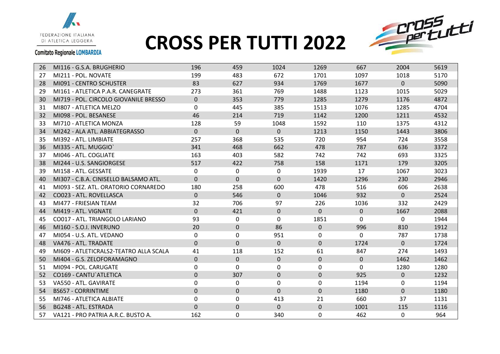



| 26 | MI116 - G.S.A. BRUGHERIO               | 196          | 459          | 1024         | 1269           | 667         | 2004     | 5619 |
|----|----------------------------------------|--------------|--------------|--------------|----------------|-------------|----------|------|
| 27 | MI211 - POL. NOVATE                    | 199          | 483          | 672          | 1701           | 1097        | 1018     | 5170 |
| 28 | MI091 - CENTRO SCHUSTER                | 83           | 627          | 934          | 1769           | 1677        | $\Omega$ | 5090 |
| 29 | MI161 - ATLETICA P.A.R. CANEGRATE      | 273          | 361          | 769          | 1488           | 1123        | 1015     | 5029 |
| 30 | MI719 - POL. CIRCOLO GIOVANILE BRESSO  | $\Omega$     | 353          | 779          | 1285           | 1279        | 1176     | 4872 |
| 31 | MI807 - ATLETICA MELZO                 | $\mathbf{0}$ | 445          | 385          | 1513           | 1076        | 1285     | 4704 |
| 32 | MI098 - POL. BESANESE                  | 46           | 214          | 719          | 1142           | 1200        | 1211     | 4532 |
| 33 | MI710 - ATLETICA MONZA                 | 128          | 59           | 1048         | 1592           | 110         | 1375     | 4312 |
| 34 | MI242 - ALA ATL. ABBIATEGRASSO         | $\Omega$     | $\mathbf{0}$ | $\Omega$     | 1213           | 1150        | 1443     | 3806 |
| 35 | MI392 - ATL. LIMBIATE                  | 257          | 368          | 535          | 720            | 954         | 724      | 3558 |
| 36 | MI335 - ATL. MUGGIO'                   | 341          | 468          | 662          | 478            | 787         | 636      | 3372 |
| 37 | MI046 - ATL. COGLIATE                  | 163          | 403          | 582          | 742            | 742         | 693      | 3325 |
| 38 | MI244 - U.S. SANGIORGESE               | 517          | 422          | 758          | 158            | 1171        | 179      | 3205 |
| 39 | MI158 - ATL. GESSATE                   | 0            | 0            | 0            | 1939           | 17          | 1067     | 3023 |
| 40 | MI307 - C.B.A. CINISELLO BALSAMO ATL.  | $\Omega$     | $\mathbf{0}$ | $\Omega$     | 1420           | 1296        | 230      | 2946 |
| 41 | MI093 - SEZ. ATL. ORATORIO CORNAREDO   | 180          | 258          | 600          | 478            | 516         | 606      | 2638 |
| 42 | CO023 - ATL. ROVELLASCA                | $\Omega$     | 546          | $\Omega$     | 1046           | 932         | $\Omega$ | 2524 |
| 43 | MI477 - FRIESIAN TEAM                  | 32           | 706          | 97           | 226            | 1036        | 332      | 2429 |
| 44 | MI419 - ATL. VIGNATE                   | $\mathbf{0}$ | 421          | $\mathbf 0$  | $\overline{0}$ | $\mathbf 0$ | 1667     | 2088 |
| 45 | CO017 - ATL. TRIANGOLO LARIANO         | 93           | $\Omega$     | $\Omega$     | 1851           | 0           | $\Omega$ | 1944 |
| 46 | MI160 - S.O.I. INVERUNO                | 20           | 0            | 86           | $\mathbf{0}$   | 996         | 810      | 1912 |
| 47 | MI054 - U.S. ATL. VEDANO               | 0            | 0            | 951          | 0              | $\mathbf 0$ | 787      | 1738 |
| 48 | VA476 - ATL. TRADATE                   | $\mathbf{0}$ | $\mathbf 0$  | $\mathbf{0}$ | $\Omega$       | 1724        | $\Omega$ | 1724 |
| 49 | MI609 - ATLETICRALS2-TEATRO ALLA SCALA | 41           | 118          | 152          | 61             | 847         | 274      | 1493 |
| 50 | MI404 - G.S. ZELOFORAMAGNO             | $\Omega$     | $\mathbf 0$  | $\mathbf 0$  | $\mathbf 0$    | $\mathbf 0$ | 1462     | 1462 |
| 51 | MI094 - POL. CARUGATE                  | 0            | 0            | 0            | 0              | 0           | 1280     | 1280 |
| 52 | CO169 - CANTU`ATLETICA                 | $\mathbf 0$  | 307          | $\Omega$     | $\Omega$       | 925         | $\Omega$ | 1232 |
| 53 | VA550 - ATL. GAVIRATE                  | 0            | 0            | $\mathbf 0$  | 0              | 1194        | 0        | 1194 |
| 54 | <b>BS657 - CORRINTIME</b>              | $\Omega$     | $\mathbf 0$  | $\Omega$     | $\Omega$       | 1180        | $\Omega$ | 1180 |
| 55 | MI746 - ATLETICA ALBIATE               | $\mathbf{0}$ | 0            | 413          | 21             | 660         | 37       | 1131 |
| 56 | <b>BG248 - ATL. ESTRADA</b>            | $\Omega$     | $\mathbf 0$  | $\mathbf{0}$ | $\Omega$       | 1001        | 115      | 1116 |
| 57 | VA121 - PRO PATRIA A.R.C. BUSTO A.     | 162          | 0            | 340          | 0              | 462         | 0        | 964  |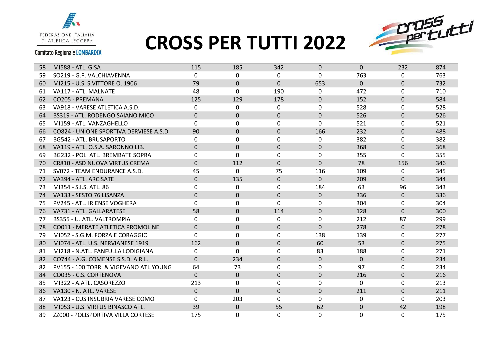

### **CROSS PER TUTTI 2022**



| 58 | MI588 - ATL. GISA                      | 115          | 185          | 342          | $\Omega$       | $\Omega$ | 232          | 874 |
|----|----------------------------------------|--------------|--------------|--------------|----------------|----------|--------------|-----|
| 59 | SO219 - G.P. VALCHIAVENNA              | $\Omega$     | $\Omega$     | $\Omega$     | $\Omega$       | 763      | $\Omega$     | 763 |
| 60 | MI215 - U.S. S.VITTORE O. 1906         | 79           | $\Omega$     | $\Omega$     | 653            | $\Omega$ | $\Omega$     | 732 |
| 61 | VA117 - ATL. MALNATE                   | 48           | 0            | 190          | 0              | 472      | $\mathbf{0}$ | 710 |
| 62 | CO205 - PREMANA                        | 125          | 129          | 178          | $\Omega$       | 152      | $\Omega$     | 584 |
| 63 | VA918 - VARESE ATLETICA A.S.D.         | 0            | $\Omega$     | $\mathbf 0$  | $\mathbf{0}$   | 528      | $\Omega$     | 528 |
| 64 | BS319 - ATL. RODENGO SAIANO MICO       | $\Omega$     | $\Omega$     | $\Omega$     | $\Omega$       | 526      | $\Omega$     | 526 |
| 65 | MI159 - ATL. VANZAGHELLO               | $\Omega$     | $\Omega$     | $\Omega$     | $\Omega$       | 521      | $\Omega$     | 521 |
| 66 | CO824 - UNIONE SPORTIVA DERVIESE A.S.D | 90           | $\mathbf{0}$ | $\mathbf{0}$ | 166            | 232      | $\Omega$     | 488 |
| 67 | BG542 - ATL. BRUSAPORTO                | 0            | 0            | $\mathbf{0}$ | 0              | 382      | $\mathbf{0}$ | 382 |
| 68 | VA119 - ATL, O.S.A. SARONNO LIB.       | $\Omega$     | $\Omega$     | $\mathbf{0}$ | $\Omega$       | 368      | $\Omega$     | 368 |
| 69 | BG232 - POL. ATL. BREMBATE SOPRA       | $\mathbf{0}$ | 0            | $\mathbf{0}$ | 0              | 355      | $\Omega$     | 355 |
| 70 | CR810 - ASD NUOVA VIRTUS CREMA         | $\Omega$     | 112          | $\Omega$     | $\Omega$       | 78       | 156          | 346 |
| 71 | SV072 - TEAM ENDURANCE A.S.D.          | 45           | $\mathbf{0}$ | 75           | 116            | 109      | $\mathbf{0}$ | 345 |
| 72 | VA394 - ATL. ARCISATE                  | $\mathbf{0}$ | 135          | $\mathbf 0$  | $\overline{0}$ | 209      | $\Omega$     | 344 |
| 73 | MI354 - S.I.S. ATL. 86                 | $\Omega$     | $\Omega$     | $\Omega$     | 184            | 63       | 96           | 343 |
| 74 | VA133 - SESTO 76 LISANZA               | $\mathbf{0}$ | $\mathbf{0}$ | $\mathbf{0}$ | $\Omega$       | 336      | $\mathbf{0}$ | 336 |
| 75 | <b>PV245 - ATL. IRIENSE VOGHERA</b>    | $\Omega$     | $\Omega$     | $\Omega$     | $\Omega$       | 304      | $\Omega$     | 304 |
| 76 | VA731 - ATL. GALLARATESE               | 58           | $\Omega$     | 114          | $\Omega$       | 128      | $\Omega$     | 300 |
| 77 | BS355 - U. ATL. VALTROMPIA             | $\Omega$     | 0            | $\mathbf{0}$ | $\Omega$       | 212      | 87           | 299 |
| 78 | CO011 - MERATE ATLETICA PROMOLINE      | $\mathbf{0}$ | $\mathbf{0}$ | $\mathbf{0}$ | $\mathbf{0}$   | 278      | $\mathbf{0}$ | 278 |
| 79 | MI052 - S.G.M. FORZA E CORAGGIO        | 0            | 0            | 0            | 138            | 139      | $\Omega$     | 277 |
| 80 | MI074 - ATL, U.S. NERVIANESE 1919      | 162          | $\Omega$     | $\mathbf{0}$ | 60             | 53       | $\mathbf{0}$ | 275 |
| 81 | MI218 - N.ATL. FANFULLA LODIGIANA      | 0            | $\Omega$     | $\mathbf{0}$ | 83             | 188      | $\mathbf{0}$ | 271 |
| 82 | CO744 - A.G. COMENSE S.S.D. A R.L.     | $\Omega$     | 234          | $\Omega$     | $\Omega$       | $\Omega$ | $\Omega$     | 234 |
| 82 | PV155 - 100 TORRI & VIGEVANO ATL.YOUNG | 64           | 73           | $\mathbf{0}$ | $\mathbf{0}$   | 97       | 0            | 234 |
| 84 | CO035 - C.S. CORTENOVA                 | $\Omega$     | $\mathbf 0$  | $\mathbf{0}$ | $\Omega$       | 216      | $\mathbf{0}$ | 216 |
| 85 | MI322 - A.ATL. CASOREZZO               | 213          | $\Omega$     | $\Omega$     | $\Omega$       | $\Omega$ | $\Omega$     | 213 |
| 86 | VA130 - N. ATL. VARESE                 | $\Omega$     | $\mathbf{0}$ | $\mathbf{0}$ | $\Omega$       | 211      | $\mathbf{0}$ | 211 |
| 87 | VA123 - CUS INSUBRIA VARESE COMO       | $\Omega$     | 203          | $\Omega$     | $\Omega$       | 0        | $\Omega$     | 203 |
| 88 | MI053 - U.S. VIRTUS BINASCO ATL.       | 39           | $\mathbf{0}$ | 55           | 62             | $\Omega$ | 42           | 198 |
| 89 | ZZ000 - POLISPORTIVA VILLA CORTESE     | 175          | 0            | $\Omega$     | 0              | 0        | 0            | 175 |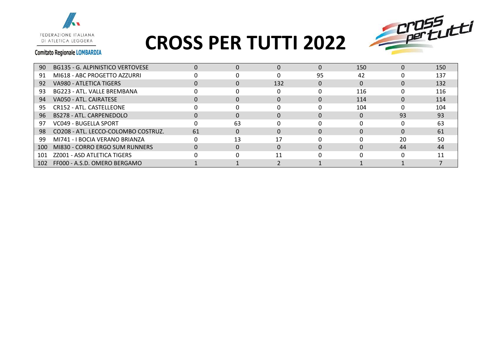



| 90  | BG135 - G. ALPINISTICO VERTOVESE    | $\Omega$     |    |     | $\Omega$ | 150 | 0  | 150 |
|-----|-------------------------------------|--------------|----|-----|----------|-----|----|-----|
| 91  | MI618 - ABC PROGETTO AZZURRI        |              |    |     | 95       | 42  |    | 137 |
| 92  | VA980 - ATLETICA TIGERS             | 0            |    | 132 |          | 0   | 0  | 132 |
| 93  | BG223 - ATL. VALLE BREMBANA         |              |    |     |          | 116 |    | 116 |
| 94  | VA050 - ATL. CAIRATESE              | <sup>0</sup> |    |     |          | 114 | 0  | 114 |
| 95  | CR152 - ATL. CASTELLEONE            |              |    |     |          | 104 |    | 104 |
| 96  | BS278 - ATL. CARPENEDOLO            | $\Omega$     |    |     |          |     | 93 | 93  |
| 97  | VC049 - BUGELLA SPORT               |              | 63 |     |          |     |    | 63  |
| 98  | CO208 - ATL. LECCO-COLOMBO COSTRUZ. | 61           |    |     |          |     | 0  | 61  |
| 99  | MI741 - I BOCIA VERANO BRIANZA      | $\Omega$     | 13 | 17  |          |     | 20 | 50  |
| 100 | MI830 - CORRO ERGO SUM RUNNERS      | $\Omega$     |    |     |          |     | 44 | 44  |
| 101 | ZZ001 - ASD ATLETICA TIGERS         |              |    | 11  |          |     |    | 11  |
| 102 | FF000 - A.S.D. OMERO BERGAMO        |              |    |     |          |     |    |     |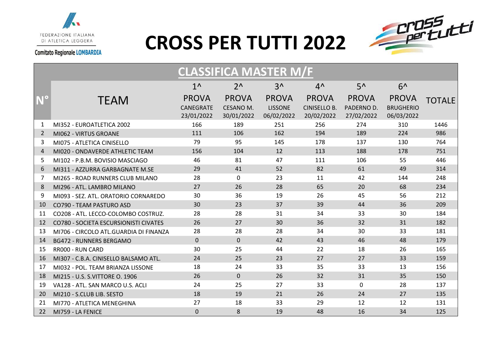



<span id="page-8-0"></span>

|                | <b>CLASSIFICA MASTER M/F</b>                 |                                         |                                         |                                              |                                                   |                                          |                                                |               |  |  |
|----------------|----------------------------------------------|-----------------------------------------|-----------------------------------------|----------------------------------------------|---------------------------------------------------|------------------------------------------|------------------------------------------------|---------------|--|--|
|                |                                              | $1^{\wedge}$                            | $2^{\Lambda}$                           | $3^$                                         | $4^{\prime}$                                      | $5^{\prime}$                             | $6^$                                           |               |  |  |
|                | <b>TEAM</b>                                  | <b>PROVA</b><br>CANEGRATE<br>23/01/2022 | <b>PROVA</b><br>CESANO M.<br>30/01/2022 | <b>PROVA</b><br><b>LISSONE</b><br>06/02/2022 | <b>PROVA</b><br><b>CINISELLO B.</b><br>20/02/2022 | <b>PROVA</b><br>PADERNO D.<br>27/02/2022 | <b>PROVA</b><br><b>BRUGHERIO</b><br>06/03/2022 | <b>TOTALE</b> |  |  |
| 1              | MI352 - EUROATLETICA 2002                    | 166                                     | 189                                     | 251                                          | 256                                               | 274                                      | 310                                            | 1446          |  |  |
| 2              | MI062 - VIRTUS GROANE                        | 111                                     | 106                                     | 162                                          | 194                                               | 189                                      | 224                                            | 986           |  |  |
| 3              | MI075 - ATLETICA CINISELLO                   | 79                                      | 95                                      | 145                                          | 178                                               | 137                                      | 130                                            | 764           |  |  |
| $\overline{4}$ | MI020 - ONDAVERDE ATHLETIC TEAM              | 156                                     | 104                                     | 12                                           | 113                                               | 188                                      | 178                                            | 751           |  |  |
| 5              | MI102 - P.B.M. BOVISIO MASCIAGO              | 46                                      | 81                                      | 47                                           | 111                                               | 106                                      | 55                                             | 446           |  |  |
| 6              | MI311 - AZZURRA GARBAGNATE M.SE              | 29                                      | 41                                      | 52                                           | 82                                                | 61                                       | 49                                             | 314           |  |  |
| 7              | MI265 - ROAD RUNNERS CLUB MILANO             | 28                                      | 0                                       | 23                                           | 11                                                | 42                                       | 144                                            | 248           |  |  |
| 8              | MI296 - ATL. LAMBRO MILANO                   | 27                                      | 26                                      | 28                                           | 65                                                | 20                                       | 68                                             | 234           |  |  |
| 9              | MI093 - SEZ. ATL. ORATORIO CORNAREDO         | 30                                      | 36                                      | 19                                           | 26                                                | 45                                       | 56                                             | 212           |  |  |
| 10             | CO790 - TEAM PASTURO ASD                     | 30                                      | 23                                      | 37                                           | 39                                                | 44                                       | 36                                             | 209           |  |  |
| 11             | CO208 - ATL. LECCO-COLOMBO COSTRUZ.          | 28                                      | 28                                      | 31                                           | 34                                                | 33                                       | 30                                             | 184           |  |  |
| 12             | <b>CO780 - SOCIETA ESCURSIONISTI CIVATES</b> | 26                                      | 27                                      | 30                                           | 36                                                | 32                                       | 31                                             | 182           |  |  |
| 13             | MI706 - CIRCOLO ATL.GUARDIA DI FINANZA       | 28                                      | 28                                      | 28                                           | 34                                                | 30                                       | 33                                             | 181           |  |  |
| 14             | <b>BG472 - RUNNERS BERGAMO</b>               | $\mathbf 0$                             | $\mathbf 0$                             | 42                                           | 43                                                | 46                                       | 48                                             | 179           |  |  |
| 15             | RR000 - RUN CARD                             | 30                                      | 25                                      | 44                                           | 22                                                | 18                                       | 26                                             | 165           |  |  |
| 16             | MI307 - C.B.A. CINISELLO BALSAMO ATL.        | 24                                      | 25                                      | 23                                           | 27                                                | 27                                       | 33                                             | 159           |  |  |
| 17             | MI032 - POL. TEAM BRIANZA LISSONE            | 18                                      | 24                                      | 33                                           | 35                                                | 33                                       | 13                                             | 156           |  |  |
| 18             | MI215 - U.S. S.VITTORE O. 1906               | 26                                      | $\mathbf 0$                             | 26                                           | 32                                                | 31                                       | 35                                             | 150           |  |  |
| 19             | VA128 - ATL. SAN MARCO U.S. ACLI             | 24                                      | 25                                      | 27                                           | 33                                                | 0                                        | 28                                             | 137           |  |  |
| 20             | MI210 - S.CLUB LIB. SESTO                    | 18                                      | 19                                      | 21                                           | 26                                                | 24                                       | 27                                             | 135           |  |  |
| 21             | MI770 - ATLETICA MENEGHINA                   | 27                                      | 18                                      | 33                                           | 29                                                | 12                                       | 12                                             | 131           |  |  |
| 22             | MI759 - LA FENICE                            | $\mathbf 0$                             | 8                                       | 19                                           | 48                                                | 16                                       | 34                                             | 125           |  |  |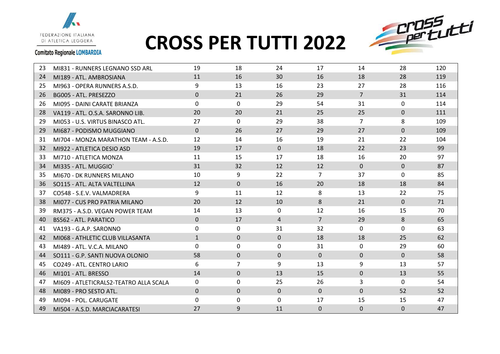



#### **Comitato Regionale LOMBARDIA**

 $\blacksquare$ 

| 23 | MI831 - RUNNERS LEGNANO SSD ARL        | 19           | 18             | 24           | 17             | 14             | 28           | 120 |
|----|----------------------------------------|--------------|----------------|--------------|----------------|----------------|--------------|-----|
| 24 | MI189 - ATL. AMBROSIANA                | 11           | 16             | 30           | 16             | 18             | 28           | 119 |
| 25 | MI963 - OPERA RUNNERS A.S.D.           | 9            | 13             | 16           | 23             | 27             | 28           | 116 |
| 26 | BG005 - ATL. PRESEZZO                  | $\Omega$     | 21             | 26           | 29             | $7^{\circ}$    | 31           | 114 |
| 26 | MI095 - DAINI CARATE BRIANZA           | $\Omega$     | $\mathbf{0}$   | 29           | 54             | 31             | $\Omega$     | 114 |
| 28 | VA119 - ATL. O.S.A. SARONNO LIB.       | 20           | 20             | 21           | 25             | 25             | $\Omega$     | 111 |
| 29 | MI053 - U.S. VIRTUS BINASCO ATL.       | 27           | 0              | 29           | 38             | $\overline{7}$ | 8            | 109 |
| 29 | MI687 - PODISMO MUGGIANO               | $\mathbf{0}$ | 26             | 27           | 29             | 27             | $\Omega$     | 109 |
| 31 | MI704 - MONZA MARATHON TEAM - A.S.D.   | 12           | 14             | 16           | 19             | 21             | 22           | 104 |
| 32 | MI922 - ATLETICA DESIO ASD             | 19           | 17             | $\mathbf{0}$ | 18             | 22             | 23           | 99  |
| 33 | MI710 - ATLETICA MONZA                 | 11           | 15             | 17           | 18             | 16             | 20           | 97  |
| 34 | MI335 - ATL. MUGGIO'                   | 31           | 32             | 12           | 12             | $\Omega$       | $\mathbf{0}$ | 87  |
| 35 | MI670 - DK RUNNERS MILANO              | 10           | 9              | 22           | $\overline{7}$ | 37             | $\Omega$     | 85  |
| 36 | SO115 - ATL. ALTA VALTELLINA           | 12           | $\Omega$       | 16           | 20             | 18             | 18           | 84  |
| 37 | CO548 - S.E.V. VALMADRERA              | 9            | 11             | 12           | 8              | 13             | 22           | 75  |
| 38 | MI077 - CUS PRO PATRIA MILANO          | 20           | 12             | 10           | 8              | 21             | $\mathbf{0}$ | 71  |
| 39 | RM375 - A.S.D. VEGAN POWER TEAM        | 14           | 13             | $\Omega$     | 12             | 16             | 15           | 70  |
| 40 | <b>BS562 - ATL. PARATICO</b>           | $\mathbf{0}$ | 17             | 4            | $\overline{7}$ | 29             | 8            | 65  |
| 41 | VA193 - G.A.P. SARONNO                 | 0            | 0              | 31           | 32             | 0              | 0            | 63  |
| 42 | MI068 - ATHLETIC CLUB VILLASANTA       | $\mathbf{1}$ | $\mathbf{0}$   | $\mathbf{0}$ | 18             | 18             | 25           | 62  |
| 43 | MI489 - ATL, V.C.A. MILANO             | 0            | $\mathbf{0}$   | $\Omega$     | 31             | 0              | 29           | 60  |
| 44 | SO111 - G.P. SANTI NUOVA OLONIO        | 58           | $\mathbf 0$    | $\Omega$     | $\Omega$       | $\Omega$       | $\mathbf{0}$ | 58  |
| 45 | CO249 - ATL. CENTRO LARIO              | 6            | $\overline{7}$ | 9            | 13             | 9              | 13           | 57  |
| 46 | MI101 - ATL. BRESSO                    | 14           | $\mathbf 0$    | 13           | 15             | $\mathbf{0}$   | 13           | 55  |
| 47 | MI609 - ATLETICRALS2-TEATRO ALLA SCALA | 0            | 0              | 25           | 26             | 3              | 0            | 54  |
| 48 | MI089 - PRO SESTO ATL.                 | $\mathbf{0}$ | $\mathbf{0}$   | $\mathbf 0$  | $\mathbf{0}$   | $\mathbf 0$    | 52           | 52  |
| 49 | MI094 - POL. CARUGATE                  | 0            | 0              | 0            | 17             | 15             | 15           | 47  |
| 49 | MI504 - A.S.D. MARCIACARATESI          | 27           | 9              | 11           | $\mathbf{0}$   | $\mathbf 0$    | $\mathbf 0$  | 47  |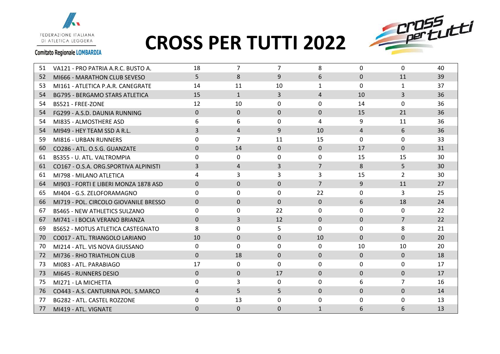



#### **Comitato Regionale LOMBARDIA**

 $\blacksquare$ 

| 51  | VA121 - PRO PATRIA A.R.C. BUSTO A.    | 18             | 7              | 7            | 8              | 0            | $\Omega$       | 40 |
|-----|---------------------------------------|----------------|----------------|--------------|----------------|--------------|----------------|----|
| 52  | MI666 - MARATHON CLUB SEVESO          | 5              | 8              | 9            | 6              | $\Omega$     | 11             | 39 |
| 53  | MI161 - ATLETICA P.A.R. CANEGRATE     | 14             | 11             | 10           | $\mathbf{1}$   | $\Omega$     | $\mathbf{1}$   | 37 |
| 54  | <b>BG795 - BERGAMO STARS ATLETICA</b> | 15             | $\mathbf{1}$   | 3            | $\overline{4}$ | 10           | $\overline{3}$ | 36 |
| 54  | BS521 - FREE-ZONE                     | 12             | 10             | 0            | $\Omega$       | 14           | 0              | 36 |
| 54  | FG299 - A.S.D. DAUNIA RUNNING         | $\Omega$       | $\mathbf 0$    | $\Omega$     | $\Omega$       | 15           | 21             | 36 |
| 54  | MI835 - ALMOSTHERE ASD                | 6              | 6              | $\Omega$     | 4              | 9            | 11             | 36 |
| 54  | MI949 - HEY TEAM SSD A R.L.           | 3              | 4              | 9            | 10             | 4            | 6              | 36 |
| 59  | MI816 - URBAN RUNNERS                 | 0              | $\overline{7}$ | 11           | 15             | $\Omega$     | $\mathbf{0}$   | 33 |
| 60  | CO286 - ATL. O.S.G. GUANZATE          | $\Omega$       | 14             | $\Omega$     | $\Omega$       | 17           | $\Omega$       | 31 |
| 61  | BS355 - U. ATL. VALTROMPIA            | 0              | $\mathbf{0}$   | 0            | $\Omega$       | 15           | 15             | 30 |
| 61  | CO167 - O.S.A. ORG.SPORTIVA ALPINISTI | 3              | 4              | 3            | $\overline{7}$ | 8            | 5              | 30 |
| 61  | MI798 - MILANO ATLETICA               | 4              | 3              | 3            | 3              | 15           | $\overline{2}$ | 30 |
| 64  | MI903 - FORTI E LIBERI MONZA 1878 ASD | $\Omega$       | $\Omega$       | $\Omega$     | $\overline{7}$ | 9            | 11             | 27 |
| 65  | MI404 - G.S. ZELOFORAMAGNO            | 0              | 0              | $\Omega$     | 22             | 0            | 3              | 25 |
| 66  | MI719 - POL. CIRCOLO GIOVANILE BRESSO | $\Omega$       | $\Omega$       | $\Omega$     | $\Omega$       | 6            | 18             | 24 |
| 67  | <b>BS465 - NEW ATHLETICS SULZANO</b>  | 0              | 0              | 22           | $\Omega$       | $\Omega$     | $\Omega$       | 22 |
| 67  | MI741 - I BOCIA VERANO BRIANZA        | $\Omega$       | 3              | 12           | $\Omega$       | $\Omega$     | $\overline{7}$ | 22 |
| 69  | BS652 - MOTUS ATLETICA CASTEGNATO     | 8              | $\Omega$       | 5            | $\Omega$       | $\Omega$     | 8              | 21 |
| 70  | CO017 - ATL. TRIANGOLO LARIANO        | 10             | $\Omega$       | $\mathbf{0}$ | 10             | $\Omega$     | $\Omega$       | 20 |
| 70  | MI214 - ATL, VIS NOVA GIUSSANO        | $\Omega$       | $\Omega$       | $\Omega$     | 0              | 10           | 10             | 20 |
| 72  | MI736 - RHO TRIATHLON CLUB            | $\Omega$       | 18             | $\Omega$     | $\Omega$       | $\Omega$     | $\mathbf{0}$   | 18 |
| -73 | MI083 - ATL, PARABIAGO                | 17             | $\mathbf{0}$   | $\Omega$     | $\mathbf{0}$   | 0            | $\mathbf{0}$   | 17 |
| 73  | MI645 - RUNNERS DESIO                 | $\Omega$       | $\Omega$       | 17           | $\mathbf{0}$   | $\Omega$     | $\mathbf{0}$   | 17 |
| 75  | MI271 - LA MICHETTA                   | 0              | 3              | $\Omega$     | $\Omega$       | 6            | $\overline{7}$ | 16 |
| -76 | CO443 - A.S. CANTURINA POL. S.MARCO   | $\overline{4}$ | 5              | 5            | $\overline{0}$ | $\mathbf{0}$ | $\mathbf 0$    | 14 |
| 77  | BG282 - ATL. CASTEL ROZZONE           | $\Omega$       | 13             | 0            | 0              | 0            | 0              | 13 |
| 77  | MI419 - ATL. VIGNATE                  | $\Omega$       | 0              | 0            | $\mathbf{1}$   | 6            | 6              | 13 |